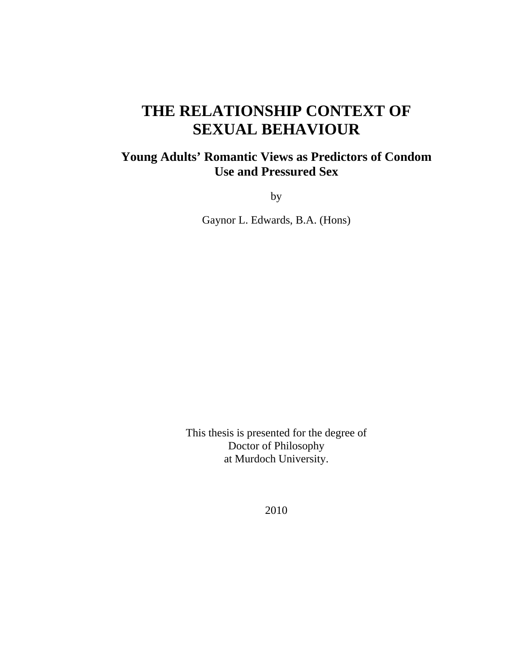# **THE RELATIONSHIP CONTEXT OF SEXUAL BEHAVIOUR**

## **Young Adults' Romantic Views as Predictors of Condom Use and Pressured Sex**

by

Gaynor L. Edwards, B.A. (Hons)

This thesis is presented for the degree of Doctor of Philosophy at Murdoch University.

2010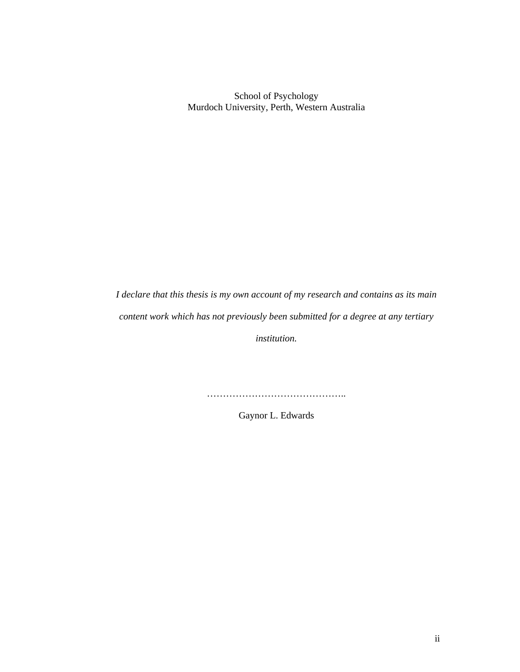School of Psychology Murdoch University, Perth, Western Australia

*I declare that this thesis is my own account of my research and contains as its main content work which has not previously been submitted for a degree at any tertiary* 

*institution.* 

……………………………………..

Gaynor L. Edwards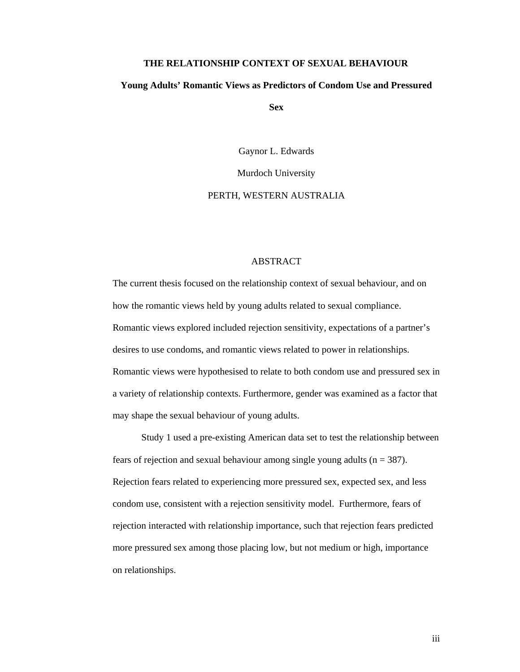#### **THE RELATIONSHIP CONTEXT OF SEXUAL BEHAVIOUR**

#### **Young Adults' Romantic Views as Predictors of Condom Use and Pressured**

**Sex** 

Gaynor L. Edwards

Murdoch University

#### PERTH, WESTERN AUSTRALIA

#### ABSTRACT

The current thesis focused on the relationship context of sexual behaviour, and on how the romantic views held by young adults related to sexual compliance. Romantic views explored included rejection sensitivity, expectations of a partner's desires to use condoms, and romantic views related to power in relationships. Romantic views were hypothesised to relate to both condom use and pressured sex in a variety of relationship contexts. Furthermore, gender was examined as a factor that may shape the sexual behaviour of young adults.

 Study 1 used a pre-existing American data set to test the relationship between fears of rejection and sexual behaviour among single young adults ( $n = 387$ ). Rejection fears related to experiencing more pressured sex, expected sex, and less condom use, consistent with a rejection sensitivity model. Furthermore, fears of rejection interacted with relationship importance, such that rejection fears predicted more pressured sex among those placing low, but not medium or high, importance on relationships.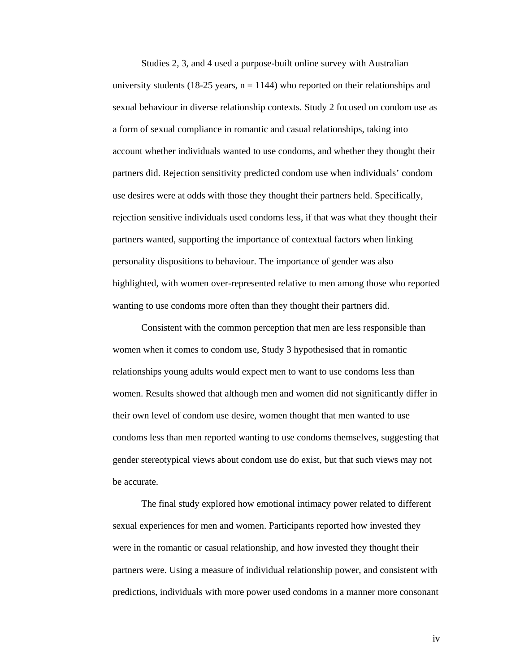Studies 2, 3, and 4 used a purpose-built online survey with Australian university students (18-25 years,  $n = 1144$ ) who reported on their relationships and sexual behaviour in diverse relationship contexts. Study 2 focused on condom use as a form of sexual compliance in romantic and casual relationships, taking into account whether individuals wanted to use condoms, and whether they thought their partners did. Rejection sensitivity predicted condom use when individuals' condom use desires were at odds with those they thought their partners held. Specifically, rejection sensitive individuals used condoms less, if that was what they thought their partners wanted, supporting the importance of contextual factors when linking personality dispositions to behaviour. The importance of gender was also highlighted, with women over-represented relative to men among those who reported wanting to use condoms more often than they thought their partners did.

 Consistent with the common perception that men are less responsible than women when it comes to condom use, Study 3 hypothesised that in romantic relationships young adults would expect men to want to use condoms less than women. Results showed that although men and women did not significantly differ in their own level of condom use desire, women thought that men wanted to use condoms less than men reported wanting to use condoms themselves, suggesting that gender stereotypical views about condom use do exist, but that such views may not be accurate.

 The final study explored how emotional intimacy power related to different sexual experiences for men and women. Participants reported how invested they were in the romantic or casual relationship, and how invested they thought their partners were. Using a measure of individual relationship power, and consistent with predictions, individuals with more power used condoms in a manner more consonant

iv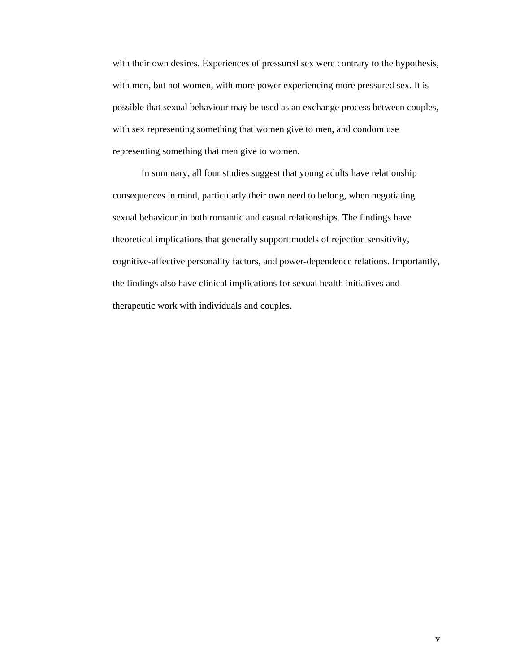with their own desires. Experiences of pressured sex were contrary to the hypothesis, with men, but not women, with more power experiencing more pressured sex. It is possible that sexual behaviour may be used as an exchange process between couples, with sex representing something that women give to men, and condom use representing something that men give to women.

 In summary, all four studies suggest that young adults have relationship consequences in mind, particularly their own need to belong, when negotiating sexual behaviour in both romantic and casual relationships. The findings have theoretical implications that generally support models of rejection sensitivity, cognitive-affective personality factors, and power-dependence relations. Importantly, the findings also have clinical implications for sexual health initiatives and therapeutic work with individuals and couples.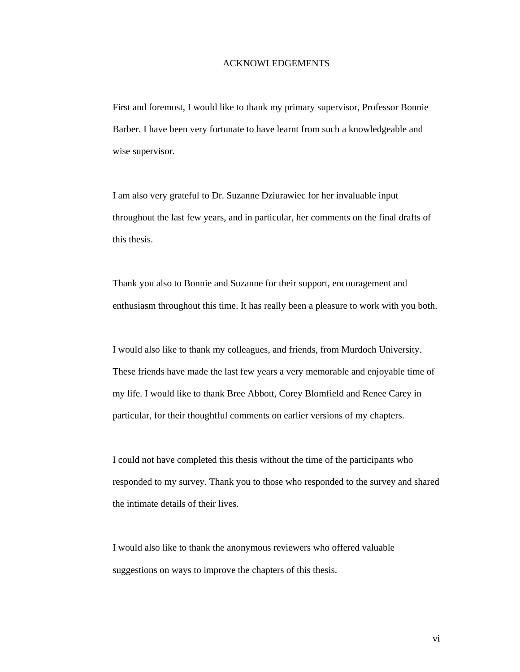#### ACKNOWLEDGEMENTS

First and foremost, I would like to thank my primary supervisor, Professor Bonnie Barber. I have been very fortunate to have learnt from such a knowledgeable and wise supervisor.

I am also very grateful to Dr. Suzanne Dziurawiec for her invaluable input throughout the last few years, and in particular, her comments on the final drafts of this thesis.

Thank you also to Bonnie and Suzanne for their support, encouragement and enthusiasm throughout this time. It has really been a pleasure to work with you both.

I would also like to thank my colleagues, and friends, from Murdoch University. These friends have made the last few years a very memorable and enjoyable time of my life. I would like to thank Bree Abbott, Corey Blomfield and Renee Carey in particular, for their thoughtful comments on earlier versions of my chapters.

I could not have completed this thesis without the time of the participants who responded to my survey. Thank you to those who responded to the survey and shared the intimate details of their lives.

I would also like to thank the anonymous reviewers who offered valuable suggestions on ways to improve the chapters of this thesis.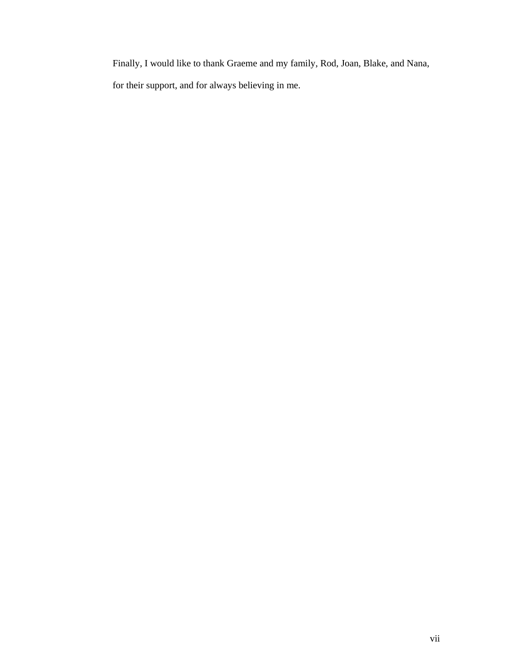Finally, I would like to thank Graeme and my family, Rod, Joan, Blake, and Nana,

for their support, and for always believing in me.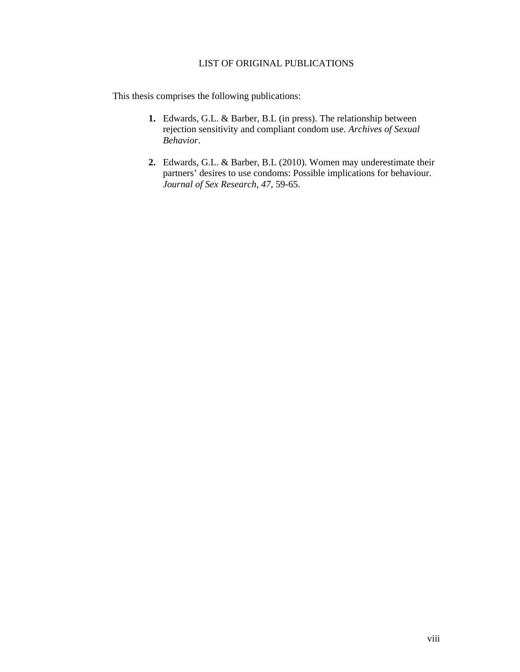#### LIST OF ORIGINAL PUBLICATIONS

This thesis comprises the following publications:

- **1.** Edwards, G.L. & Barber, B.L (in press). The relationship between rejection sensitivity and compliant condom use. *Archives of Sexual Behavior*.
- **2.** Edwards, G.L. & Barber, B.L (2010). Women may underestimate their partners' desires to use condoms: Possible implications for behaviour. *Journal of Sex Research*, *47*, 59-65.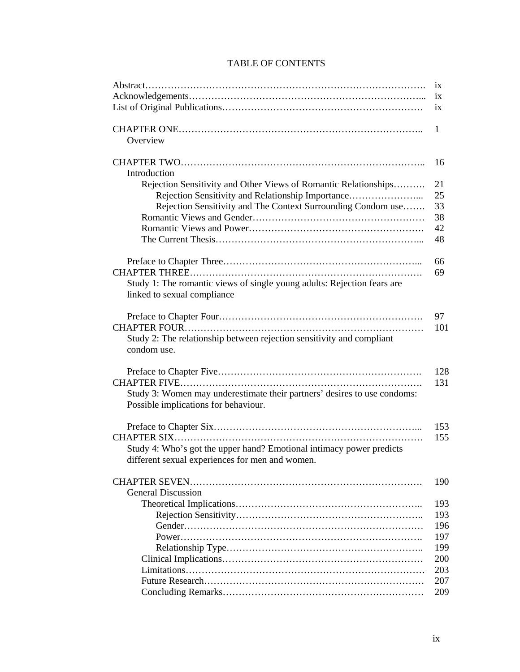### TABLE OF CONTENTS

|                                                                          | 1X  |
|--------------------------------------------------------------------------|-----|
|                                                                          | 1X  |
|                                                                          | ix  |
|                                                                          |     |
|                                                                          | 1   |
| Overview                                                                 |     |
|                                                                          |     |
|                                                                          | 16  |
| Introduction                                                             |     |
| Rejection Sensitivity and Other Views of Romantic Relationships          | 21  |
| Rejection Sensitivity and Relationship Importance                        | 25  |
| Rejection Sensitivity and The Context Surrounding Condom use             | 33  |
|                                                                          | 38  |
|                                                                          | 42  |
|                                                                          | 48  |
|                                                                          |     |
|                                                                          | 66  |
|                                                                          | 69  |
| Study 1: The romantic views of single young adults: Rejection fears are  |     |
| linked to sexual compliance                                              |     |
|                                                                          |     |
|                                                                          | 97  |
|                                                                          | 101 |
| Study 2: The relationship between rejection sensitivity and compliant    |     |
| condom use.                                                              |     |
|                                                                          |     |
|                                                                          | 128 |
|                                                                          | 131 |
| Study 3: Women may underestimate their partners' desires to use condoms: |     |
| Possible implications for behaviour.                                     |     |
|                                                                          |     |
|                                                                          | 153 |
|                                                                          | 155 |
| Study 4: Who's got the upper hand? Emotional intimacy power predicts     |     |
| different sexual experiences for men and women.                          |     |
|                                                                          |     |
|                                                                          | 190 |
| <b>General Discussion</b>                                                |     |
|                                                                          | 193 |
|                                                                          | 193 |
|                                                                          |     |
|                                                                          | 196 |
|                                                                          | 197 |
|                                                                          | 199 |
|                                                                          | 200 |
|                                                                          | 203 |
|                                                                          | 207 |
|                                                                          | 209 |